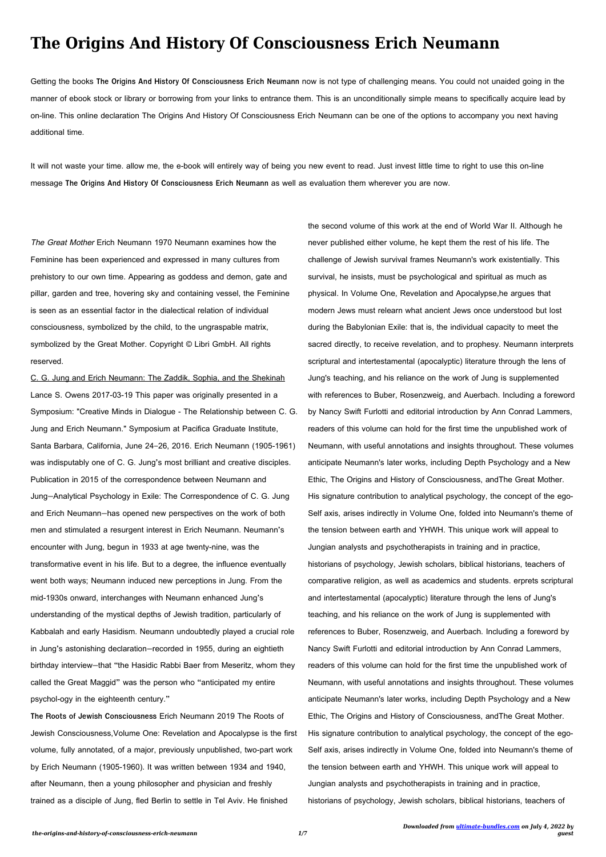## **The Origins And History Of Consciousness Erich Neumann**

Getting the books **The Origins And History Of Consciousness Erich Neumann** now is not type of challenging means. You could not unaided going in the manner of ebook stock or library or borrowing from your links to entrance them. This is an unconditionally simple means to specifically acquire lead by on-line. This online declaration The Origins And History Of Consciousness Erich Neumann can be one of the options to accompany you next having additional time.

It will not waste your time. allow me, the e-book will entirely way of being you new event to read. Just invest little time to right to use this on-line message **The Origins And History Of Consciousness Erich Neumann** as well as evaluation them wherever you are now.

The Great Mother Erich Neumann 1970 Neumann examines how the Feminine has been experienced and expressed in many cultures from prehistory to our own time. Appearing as goddess and demon, gate and pillar, garden and tree, hovering sky and containing vessel, the Feminine is seen as an essential factor in the dialectical relation of individual consciousness, symbolized by the child, to the ungraspable matrix, symbolized by the Great Mother. Copyright © Libri GmbH. All rights reserved.

C. G. Jung and Erich Neumann: The Zaddik, Sophia, and the Shekinah Lance S. Owens 2017-03-19 This paper was originally presented in a Symposium: "Creative Minds in Dialogue - The Relationship between C. G. Jung and Erich Neumann." Symposium at Pacifica Graduate Institute, Santa Barbara, California, June 24–26, 2016. Erich Neumann (1905-1961) was indisputably one of C. G. Jung's most brilliant and creative disciples. Publication in 2015 of the correspondence between Neumann and Jung—Analytical Psychology in Exile: The Correspondence of C. G. Jung and Erich Neumann—has opened new perspectives on the work of both men and stimulated a resurgent interest in Erich Neumann. Neumann's encounter with Jung, begun in 1933 at age twenty-nine, was the transformative event in his life. But to a degree, the influence eventually went both ways; Neumann induced new perceptions in Jung. From the mid-1930s onward, interchanges with Neumann enhanced Jung's understanding of the mystical depths of Jewish tradition, particularly of Kabbalah and early Hasidism. Neumann undoubtedly played a crucial role in Jung's astonishing declaration—recorded in 1955, during an eightieth birthday interview—that "the Hasidic Rabbi Baer from Meseritz, whom they called the Great Maggid" was the person who "anticipated my entire psychol-ogy in the eighteenth century." **The Roots of Jewish Consciousness** Erich Neumann 2019 The Roots of

Jewish Consciousness,Volume One: Revelation and Apocalypse is the first

volume, fully annotated, of a major, previously unpublished, two-part work

by Erich Neumann (1905-1960). It was written between 1934 and 1940,

after Neumann, then a young philosopher and physician and freshly

trained as a disciple of Jung, fled Berlin to settle in Tel Aviv. He finished

the second volume of this work at the end of World War II. Although he never published either volume, he kept them the rest of his life. The challenge of Jewish survival frames Neumann's work existentially. This survival, he insists, must be psychological and spiritual as much as physical. In Volume One, Revelation and Apocalypse,he argues that modern Jews must relearn what ancient Jews once understood but lost during the Babylonian Exile: that is, the individual capacity to meet the sacred directly, to receive revelation, and to prophesy. Neumann interprets scriptural and intertestamental (apocalyptic) literature through the lens of Jung's teaching, and his reliance on the work of Jung is supplemented with references to Buber, Rosenzweig, and Auerbach. Including a foreword by Nancy Swift Furlotti and editorial introduction by Ann Conrad Lammers, readers of this volume can hold for the first time the unpublished work of Neumann, with useful annotations and insights throughout. These volumes anticipate Neumann's later works, including Depth Psychology and a New Ethic, The Origins and History of Consciousness, andThe Great Mother. His signature contribution to analytical psychology, the concept of the ego-Self axis, arises indirectly in Volume One, folded into Neumann's theme of the tension between earth and YHWH. This unique work will appeal to Jungian analysts and psychotherapists in training and in practice, historians of psychology, Jewish scholars, biblical historians, teachers of comparative religion, as well as academics and students. erprets scriptural and intertestamental (apocalyptic) literature through the lens of Jung's teaching, and his reliance on the work of Jung is supplemented with references to Buber, Rosenzweig, and Auerbach. Including a foreword by Nancy Swift Furlotti and editorial introduction by Ann Conrad Lammers, readers of this volume can hold for the first time the unpublished work of Neumann, with useful annotations and insights throughout. These volumes anticipate Neumann's later works, including Depth Psychology and a New Ethic, The Origins and History of Consciousness, andThe Great Mother. His signature contribution to analytical psychology, the concept of the ego-Self axis, arises indirectly in Volume One, folded into Neumann's theme of the tension between earth and YHWH. This unique work will appeal to Jungian analysts and psychotherapists in training and in practice,

historians of psychology, Jewish scholars, biblical historians, teachers of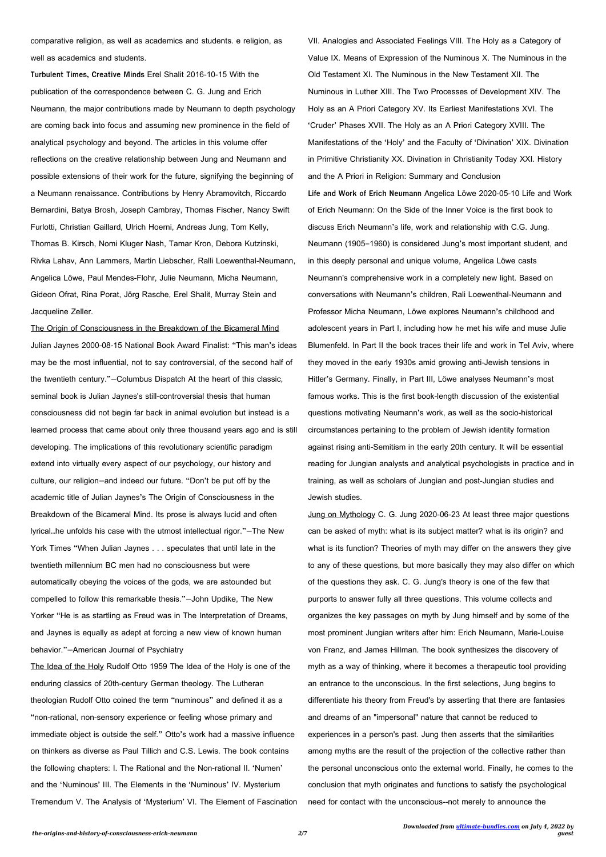comparative religion, as well as academics and students. e religion, as well as academics and students.

**Turbulent Times, Creative Minds** Erel Shalit 2016-10-15 With the publication of the correspondence between C. G. Jung and Erich Neumann, the major contributions made by Neumann to depth psychology are coming back into focus and assuming new prominence in the field of analytical psychology and beyond. The articles in this volume offer reflections on the creative relationship between Jung and Neumann and possible extensions of their work for the future, signifying the beginning of a Neumann renaissance. Contributions by Henry Abramovitch, Riccardo Bernardini, Batya Brosh, Joseph Cambray, Thomas Fischer, Nancy Swift Furlotti, Christian Gaillard, Ulrich Hoerni, Andreas Jung, Tom Kelly, Thomas B. Kirsch, Nomi Kluger Nash, Tamar Kron, Debora Kutzinski, Rivka Lahav, Ann Lammers, Martin Liebscher, Ralli Loewenthal-Neumann, Angelica Löwe, Paul Mendes-Flohr, Julie Neumann, Micha Neumann, Gideon Ofrat, Rina Porat, Jörg Rasche, Erel Shalit, Murray Stein and Jacqueline Zeller.

The Origin of Consciousness in the Breakdown of the Bicameral Mind Julian Jaynes 2000-08-15 National Book Award Finalist: "This man's ideas may be the most influential, not to say controversial, of the second half of the twentieth century."—Columbus Dispatch At the heart of this classic, seminal book is Julian Jaynes's still-controversial thesis that human consciousness did not begin far back in animal evolution but instead is a learned process that came about only three thousand years ago and is still developing. The implications of this revolutionary scientific paradigm extend into virtually every aspect of our psychology, our history and culture, our religion—and indeed our future. "Don't be put off by the academic title of Julian Jaynes's The Origin of Consciousness in the Breakdown of the Bicameral Mind. Its prose is always lucid and often lyrical…he unfolds his case with the utmost intellectual rigor."—The New York Times "When Julian Jaynes . . . speculates that until late in the twentieth millennium BC men had no consciousness but were automatically obeying the voices of the gods, we are astounded but compelled to follow this remarkable thesis."—John Updike, The New Yorker "He is as startling as Freud was in The Interpretation of Dreams, and Jaynes is equally as adept at forcing a new view of known human

behavior."—American Journal of Psychiatry

The Idea of the Holy Rudolf Otto 1959 The Idea of the Holy is one of the enduring classics of 20th-century German theology. The Lutheran theologian Rudolf Otto coined the term "numinous" and defined it as a "non-rational, non-sensory experience or feeling whose primary and immediate object is outside the self." Otto's work had a massive influence on thinkers as diverse as Paul Tillich and C.S. Lewis. The book contains the following chapters: I. The Rational and the Non-rational II. 'Numen' and the 'Numinous' III. The Elements in the 'Numinous' IV. Mysterium Tremendum V. The Analysis of 'Mysterium' VI. The Element of Fascination

VII. Analogies and Associated Feelings VIII. The Holy as a Category of Value IX. Means of Expression of the Numinous X. The Numinous in the Old Testament XI. The Numinous in the New Testament XII. The Numinous in Luther XIII. The Two Processes of Development XIV. The Holy as an A Priori Category XV. Its Earliest Manifestations XVI. The 'Cruder' Phases XVII. The Holy as an A Priori Category XVIII. The Manifestations of the 'Holy' and the Faculty of 'Divination' XIX. Divination in Primitive Christianity XX. Divination in Christianity Today XXI. History and the A Priori in Religion: Summary and Conclusion **Life and Work of Erich Neumann** Angelica Löwe 2020-05-10 Life and Work of Erich Neumann: On the Side of the Inner Voice is the first book to discuss Erich Neumann's life, work and relationship with C.G. Jung. Neumann (1905–1960) is considered Jung's most important student, and in this deeply personal and unique volume, Angelica Löwe casts Neumann's comprehensive work in a completely new light. Based on conversations with Neumann's children, Rali Loewenthal-Neumann and Professor Micha Neumann, Löwe explores Neumann's childhood and adolescent years in Part I, including how he met his wife and muse Julie Blumenfeld. In Part II the book traces their life and work in Tel Aviv, where they moved in the early 1930s amid growing anti-Jewish tensions in Hitler's Germany. Finally, in Part III, Löwe analyses Neumann's most famous works. This is the first book-length discussion of the existential questions motivating Neumann's work, as well as the socio-historical circumstances pertaining to the problem of Jewish identity formation against rising anti-Semitism in the early 20th century. It will be essential reading for Jungian analysts and analytical psychologists in practice and in training, as well as scholars of Jungian and post-Jungian studies and Jewish studies.

Jung on Mythology C. G. Jung 2020-06-23 At least three major questions can be asked of myth: what is its subject matter? what is its origin? and what is its function? Theories of myth may differ on the answers they give to any of these questions, but more basically they may also differ on which of the questions they ask. C. G. Jung's theory is one of the few that purports to answer fully all three questions. This volume collects and organizes the key passages on myth by Jung himself and by some of the most prominent Jungian writers after him: Erich Neumann, Marie-Louise von Franz, and James Hillman. The book synthesizes the discovery of myth as a way of thinking, where it becomes a therapeutic tool providing an entrance to the unconscious. In the first selections, Jung begins to differentiate his theory from Freud's by asserting that there are fantasies and dreams of an "impersonal" nature that cannot be reduced to experiences in a person's past. Jung then asserts that the similarities among myths are the result of the projection of the collective rather than the personal unconscious onto the external world. Finally, he comes to the conclusion that myth originates and functions to satisfy the psychological need for contact with the unconscious--not merely to announce the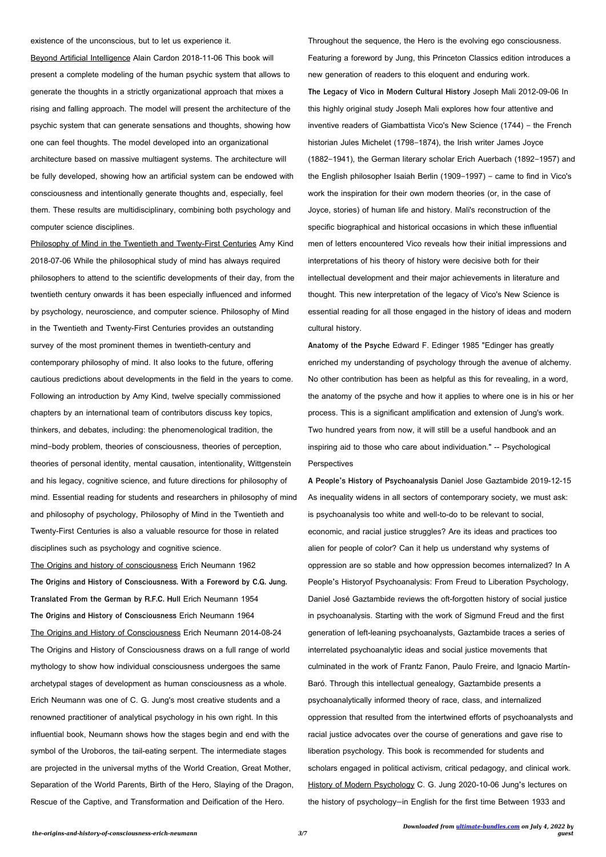existence of the unconscious, but to let us experience it. Beyond Artificial Intelligence Alain Cardon 2018-11-06 This book will present a complete modeling of the human psychic system that allows to generate the thoughts in a strictly organizational approach that mixes a rising and falling approach. The model will present the architecture of the psychic system that can generate sensations and thoughts, showing how one can feel thoughts. The model developed into an organizational architecture based on massive multiagent systems. The architecture will be fully developed, showing how an artificial system can be endowed with consciousness and intentionally generate thoughts and, especially, feel them. These results are multidisciplinary, combining both psychology and computer science disciplines.

Philosophy of Mind in the Twentieth and Twenty-First Centuries Amy Kind 2018-07-06 While the philosophical study of mind has always required philosophers to attend to the scientific developments of their day, from the twentieth century onwards it has been especially influenced and informed by psychology, neuroscience, and computer science. Philosophy of Mind in the Twentieth and Twenty-First Centuries provides an outstanding survey of the most prominent themes in twentieth-century and contemporary philosophy of mind. It also looks to the future, offering cautious predictions about developments in the field in the years to come. Following an introduction by Amy Kind, twelve specially commissioned chapters by an international team of contributors discuss key topics, thinkers, and debates, including: the phenomenological tradition, the mind–body problem, theories of consciousness, theories of perception, theories of personal identity, mental causation, intentionality, Wittgenstein and his legacy, cognitive science, and future directions for philosophy of mind. Essential reading for students and researchers in philosophy of mind and philosophy of psychology, Philosophy of Mind in the Twentieth and Twenty-First Centuries is also a valuable resource for those in related disciplines such as psychology and cognitive science.

**Anatomy of the Psyche** Edward F. Edinger 1985 "Edinger has greatly enriched my understanding of psychology through the avenue of alchemy. No other contribution has been as helpful as this for revealing, in a word, the anatomy of the psyche and how it applies to where one is in his or her process. This is a significant amplification and extension of Jung's work. Two hundred years from now, it will still be a useful handbook and an inspiring aid to those who care about individuation." -- Psychological **Perspectives** 

The Origins and history of consciousness Erich Neumann 1962 **The Origins and History of Consciousness. With a Foreword by C.G. Jung. Translated From the German by R.F.C. Hull** Erich Neumann 1954 **The Origins and History of Consciousness** Erich Neumann 1964 The Origins and History of Consciousness Erich Neumann 2014-08-24 The Origins and History of Consciousness draws on a full range of world mythology to show how individual consciousness undergoes the same archetypal stages of development as human consciousness as a whole. Erich Neumann was one of C. G. Jung's most creative students and a renowned practitioner of analytical psychology in his own right. In this influential book, Neumann shows how the stages begin and end with the symbol of the Uroboros, the tail-eating serpent. The intermediate stages are projected in the universal myths of the World Creation, Great Mother, Separation of the World Parents, Birth of the Hero, Slaying of the Dragon, Rescue of the Captive, and Transformation and Deification of the Hero.

Throughout the sequence, the Hero is the evolving ego consciousness. Featuring a foreword by Jung, this Princeton Classics edition introduces a new generation of readers to this eloquent and enduring work. **The Legacy of Vico in Modern Cultural History** Joseph Mali 2012-09-06 In this highly original study Joseph Mali explores how four attentive and inventive readers of Giambattista Vico's New Science (1744) – the French historian Jules Michelet (1798–1874), the Irish writer James Joyce (1882–1941), the German literary scholar Erich Auerbach (1892–1957) and the English philosopher Isaiah Berlin (1909–1997) – came to find in Vico's work the inspiration for their own modern theories (or, in the case of Joyce, stories) of human life and history. Mali's reconstruction of the specific biographical and historical occasions in which these influential men of letters encountered Vico reveals how their initial impressions and interpretations of his theory of history were decisive both for their intellectual development and their major achievements in literature and thought. This new interpretation of the legacy of Vico's New Science is essential reading for all those engaged in the history of ideas and modern cultural history.

**A People's History of Psychoanalysis** Daniel Jose Gaztambide 2019-12-15 As inequality widens in all sectors of contemporary society, we must ask: is psychoanalysis too white and well-to-do to be relevant to social, economic, and racial justice struggles? Are its ideas and practices too alien for people of color? Can it help us understand why systems of oppression are so stable and how oppression becomes internalized? In A People's Historyof Psychoanalysis: From Freud to Liberation Psychology, Daniel José Gaztambide reviews the oft-forgotten history of social justice in psychoanalysis. Starting with the work of Sigmund Freud and the first generation of left-leaning psychoanalysts, Gaztambide traces a series of interrelated psychoanalytic ideas and social justice movements that culminated in the work of Frantz Fanon, Paulo Freire, and Ignacio Martín-Baró. Through this intellectual genealogy, Gaztambide presents a psychoanalytically informed theory of race, class, and internalized oppression that resulted from the intertwined efforts of psychoanalysts and racial justice advocates over the course of generations and gave rise to liberation psychology. This book is recommended for students and scholars engaged in political activism, critical pedagogy, and clinical work. History of Modern Psychology C. G. Jung 2020-10-06 Jung's lectures on the history of psychology—in English for the first time Between 1933 and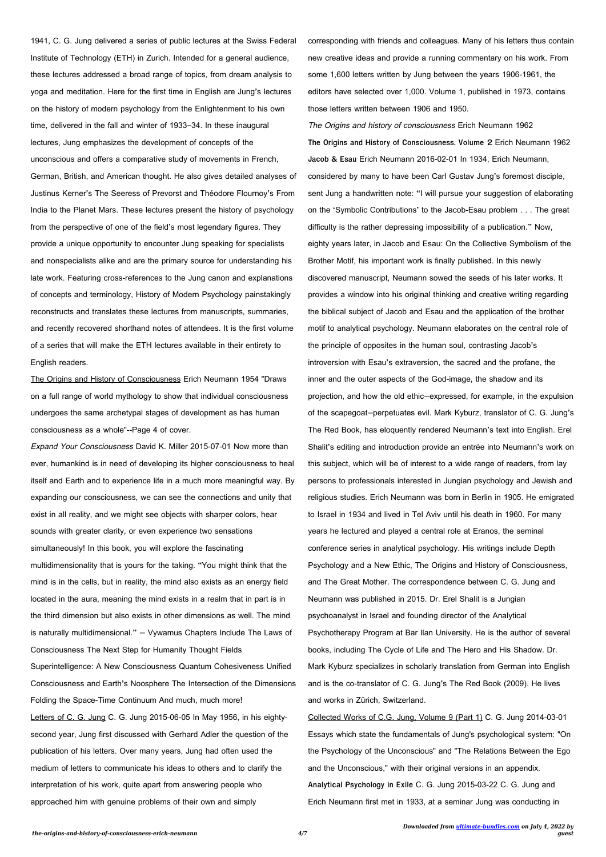1941, C. G. Jung delivered a series of public lectures at the Swiss Federal Institute of Technology (ETH) in Zurich. Intended for a general audience, these lectures addressed a broad range of topics, from dream analysis to yoga and meditation. Here for the first time in English are Jung's lectures on the history of modern psychology from the Enlightenment to his own time, delivered in the fall and winter of 1933–34. In these inaugural lectures, Jung emphasizes the development of concepts of the unconscious and offers a comparative study of movements in French, German, British, and American thought. He also gives detailed analyses of Justinus Kerner's The Seeress of Prevorst and Théodore Flournoy's From India to the Planet Mars. These lectures present the history of psychology from the perspective of one of the field's most legendary figures. They provide a unique opportunity to encounter Jung speaking for specialists and nonspecialists alike and are the primary source for understanding his late work. Featuring cross-references to the Jung canon and explanations of concepts and terminology, History of Modern Psychology painstakingly reconstructs and translates these lectures from manuscripts, summaries, and recently recovered shorthand notes of attendees. It is the first volume of a series that will make the ETH lectures available in their entirety to English readers.

The Origins and History of Consciousness Erich Neumann 1954 "Draws on a full range of world mythology to show that individual consciousness undergoes the same archetypal stages of development as has human consciousness as a whole"--Page 4 of cover.

Expand Your Consciousness David K. Miller 2015-07-01 Now more than ever, humankind is in need of developing its higher consciousness to heal itself and Earth and to experience life in a much more meaningful way. By expanding our consciousness, we can see the connections and unity that exist in all reality, and we might see objects with sharper colors, hear sounds with greater clarity, or even experience two sensations simultaneously! In this book, you will explore the fascinating multidimensionality that is yours for the taking. "You might think that the mind is in the cells, but in reality, the mind also exists as an energy field located in the aura, meaning the mind exists in a realm that in part is in the third dimension but also exists in other dimensions as well. The mind is naturally multidimensional." — Vywamus Chapters Include The Laws of

Consciousness The Next Step for Humanity Thought Fields

Superintelligence: A New Consciousness Quantum Cohesiveness Unified Consciousness and Earth's Noosphere The Intersection of the Dimensions Folding the Space-Time Continuum And much, much more! Letters of C. G. Jung C. G. Jung 2015-06-05 In May 1956, in his eightysecond year, Jung first discussed with Gerhard Adler the question of the publication of his letters. Over many years, Jung had often used the medium of letters to communicate his ideas to others and to clarify the interpretation of his work, quite apart from answering people who approached him with genuine problems of their own and simply

corresponding with friends and colleagues. Many of his letters thus contain new creative ideas and provide a running commentary on his work. From some 1,600 letters written by Jung between the years 1906-1961, the editors have selected over 1,000. Volume 1, published in 1973, contains those letters written between 1906 and 1950.

The Origins and history of consciousness Erich Neumann 1962 **The Origins and History of Consciousness. Volume 2** Erich Neumann 1962 **Jacob & Esau** Erich Neumann 2016-02-01 In 1934, Erich Neumann, considered by many to have been Carl Gustav Jung's foremost disciple, sent Jung a handwritten note: "I will pursue your suggestion of elaborating on the 'Symbolic Contributions' to the Jacob-Esau problem . . . The great difficulty is the rather depressing impossibility of a publication." Now, eighty years later, in Jacob and Esau: On the Collective Symbolism of the Brother Motif, his important work is finally published. In this newly discovered manuscript, Neumann sowed the seeds of his later works. It provides a window into his original thinking and creative writing regarding the biblical subject of Jacob and Esau and the application of the brother motif to analytical psychology. Neumann elaborates on the central role of the principle of opposites in the human soul, contrasting Jacob's introversion with Esau's extraversion, the sacred and the profane, the inner and the outer aspects of the God-image, the shadow and its projection, and how the old ethic—expressed, for example, in the expulsion of the scapegoat—perpetuates evil. Mark Kyburz, translator of C. G. Jung's The Red Book, has eloquently rendered Neumann's text into English. Erel Shalit's editing and introduction provide an entrée into Neumann's work on this subject, which will be of interest to a wide range of readers, from lay persons to professionals interested in Jungian psychology and Jewish and religious studies. Erich Neumann was born in Berlin in 1905. He emigrated to Israel in 1934 and lived in Tel Aviv until his death in 1960. For many years he lectured and played a central role at Eranos, the seminal conference series in analytical psychology. His writings include Depth Psychology and a New Ethic, The Origins and History of Consciousness, and The Great Mother. The correspondence between C. G. Jung and Neumann was published in 2015. Dr. Erel Shalit is a Jungian psychoanalyst in Israel and founding director of the Analytical Psychotherapy Program at Bar Ilan University. He is the author of several books, including The Cycle of Life and The Hero and His Shadow. Dr. Mark Kyburz specializes in scholarly translation from German into English and is the co-translator of C. G. Jung's The Red Book (2009). He lives and works in Zürich, Switzerland. Collected Works of C.G. Jung, Volume 9 (Part 1) C. G. Jung 2014-03-01 Essays which state the fundamentals of Jung's psychological system: "On the Psychology of the Unconscious" and "The Relations Between the Ego and the Unconscious," with their original versions in an appendix. **Analytical Psychology in Exile** C. G. Jung 2015-03-22 C. G. Jung and Erich Neumann first met in 1933, at a seminar Jung was conducting in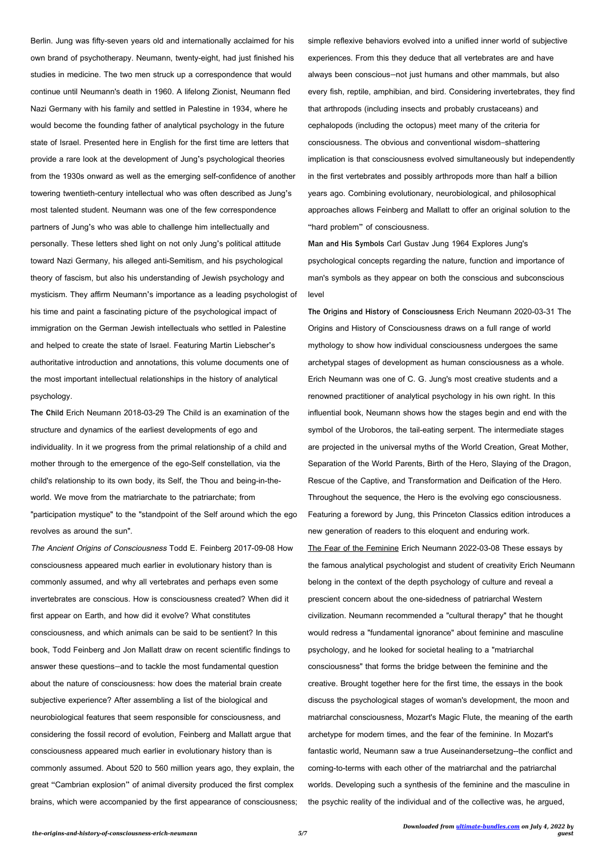Berlin. Jung was fifty-seven years old and internationally acclaimed for his own brand of psychotherapy. Neumann, twenty-eight, had just finished his studies in medicine. The two men struck up a correspondence that would continue until Neumann's death in 1960. A lifelong Zionist, Neumann fled Nazi Germany with his family and settled in Palestine in 1934, where he would become the founding father of analytical psychology in the future state of Israel. Presented here in English for the first time are letters that provide a rare look at the development of Jung's psychological theories from the 1930s onward as well as the emerging self-confidence of another towering twentieth-century intellectual who was often described as Jung's most talented student. Neumann was one of the few correspondence partners of Jung's who was able to challenge him intellectually and personally. These letters shed light on not only Jung's political attitude toward Nazi Germany, his alleged anti-Semitism, and his psychological theory of fascism, but also his understanding of Jewish psychology and mysticism. They affirm Neumann's importance as a leading psychologist of his time and paint a fascinating picture of the psychological impact of immigration on the German Jewish intellectuals who settled in Palestine and helped to create the state of Israel. Featuring Martin Liebscher's authoritative introduction and annotations, this volume documents one of the most important intellectual relationships in the history of analytical psychology.

**The Child** Erich Neumann 2018-03-29 The Child is an examination of the structure and dynamics of the earliest developments of ego and individuality. In it we progress from the primal relationship of a child and mother through to the emergence of the ego-Self constellation, via the child's relationship to its own body, its Self, the Thou and being-in-theworld. We move from the matriarchate to the patriarchate; from "participation mystique" to the "standpoint of the Self around which the ego revolves as around the sun".

The Ancient Origins of Consciousness Todd E. Feinberg 2017-09-08 How consciousness appeared much earlier in evolutionary history than is commonly assumed, and why all vertebrates and perhaps even some invertebrates are conscious. How is consciousness created? When did it first appear on Earth, and how did it evolve? What constitutes consciousness, and which animals can be said to be sentient? In this book, Todd Feinberg and Jon Mallatt draw on recent scientific findings to answer these questions—and to tackle the most fundamental question about the nature of consciousness: how does the material brain create subjective experience? After assembling a list of the biological and neurobiological features that seem responsible for consciousness, and considering the fossil record of evolution, Feinberg and Mallatt argue that consciousness appeared much earlier in evolutionary history than is commonly assumed. About 520 to 560 million years ago, they explain, the great "Cambrian explosion" of animal diversity produced the first complex brains, which were accompanied by the first appearance of consciousness; simple reflexive behaviors evolved into a unified inner world of subjective experiences. From this they deduce that all vertebrates are and have always been conscious—not just humans and other mammals, but also every fish, reptile, amphibian, and bird. Considering invertebrates, they find that arthropods (including insects and probably crustaceans) and cephalopods (including the octopus) meet many of the criteria for consciousness. The obvious and conventional wisdom–shattering implication is that consciousness evolved simultaneously but independently in the first vertebrates and possibly arthropods more than half a billion years ago. Combining evolutionary, neurobiological, and philosophical approaches allows Feinberg and Mallatt to offer an original solution to the "hard problem" of consciousness.

**Man and His Symbols** Carl Gustav Jung 1964 Explores Jung's psychological concepts regarding the nature, function and importance of man's symbols as they appear on both the conscious and subconscious level

**The Origins and History of Consciousness** Erich Neumann 2020-03-31 The Origins and History of Consciousness draws on a full range of world mythology to show how individual consciousness undergoes the same archetypal stages of development as human consciousness as a whole. Erich Neumann was one of C. G. Jung's most creative students and a renowned practitioner of analytical psychology in his own right. In this influential book, Neumann shows how the stages begin and end with the symbol of the Uroboros, the tail-eating serpent. The intermediate stages are projected in the universal myths of the World Creation, Great Mother, Separation of the World Parents, Birth of the Hero, Slaying of the Dragon, Rescue of the Captive, and Transformation and Deification of the Hero. Throughout the sequence, the Hero is the evolving ego consciousness. Featuring a foreword by Jung, this Princeton Classics edition introduces a new generation of readers to this eloquent and enduring work. The Fear of the Feminine Erich Neumann 2022-03-08 These essays by the famous analytical psychologist and student of creativity Erich Neumann belong in the context of the depth psychology of culture and reveal a prescient concern about the one-sidedness of patriarchal Western civilization. Neumann recommended a "cultural therapy" that he thought would redress a "fundamental ignorance" about feminine and masculine psychology, and he looked for societal healing to a "matriarchal consciousness" that forms the bridge between the feminine and the creative. Brought together here for the first time, the essays in the book discuss the psychological stages of woman's development, the moon and matriarchal consciousness, Mozart's Magic Flute, the meaning of the earth archetype for modern times, and the fear of the feminine. In Mozart's fantastic world, Neumann saw a true Auseinandersetzung--the conflict and coming-to-terms with each other of the matriarchal and the patriarchal worlds. Developing such a synthesis of the feminine and the masculine in the psychic reality of the individual and of the collective was, he argued,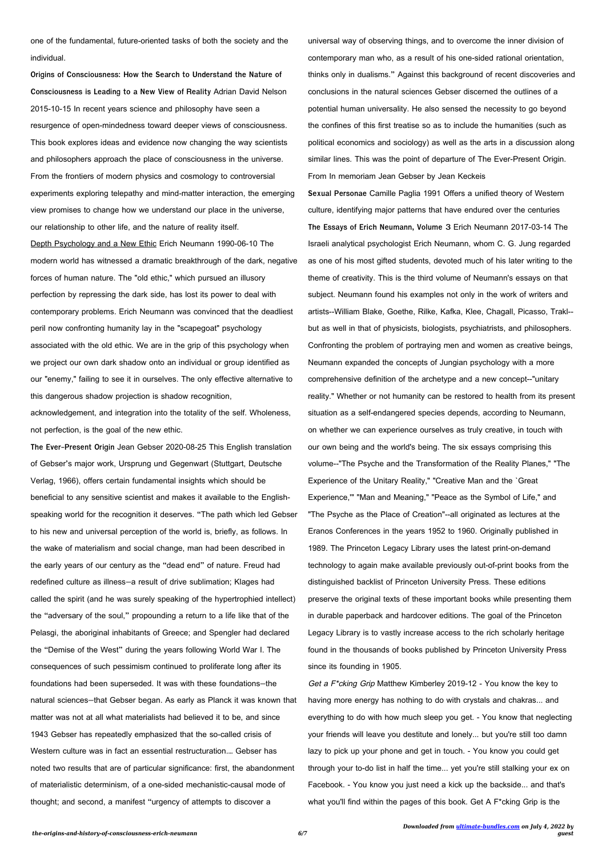one of the fundamental, future-oriented tasks of both the society and the individual.

**Origins of Consciousness: How the Search to Understand the Nature of Consciousness is Leading to a New View of Reality** Adrian David Nelson 2015-10-15 In recent years science and philosophy have seen a resurgence of open-mindedness toward deeper views of consciousness. This book explores ideas and evidence now changing the way scientists and philosophers approach the place of consciousness in the universe. From the frontiers of modern physics and cosmology to controversial experiments exploring telepathy and mind-matter interaction, the emerging view promises to change how we understand our place in the universe, our relationship to other life, and the nature of reality itself.

Depth Psychology and a New Ethic Erich Neumann 1990-06-10 The modern world has witnessed a dramatic breakthrough of the dark, negative forces of human nature. The "old ethic," which pursued an illusory perfection by repressing the dark side, has lost its power to deal with contemporary problems. Erich Neumann was convinced that the deadliest peril now confronting humanity lay in the "scapegoat" psychology associated with the old ethic. We are in the grip of this psychology when we project our own dark shadow onto an individual or group identified as our "enemy," failing to see it in ourselves. The only effective alternative to this dangerous shadow projection is shadow recognition,

acknowledgement, and integration into the totality of the self. Wholeness, not perfection, is the goal of the new ethic.

**The Ever-Present Origin** Jean Gebser 2020-08-25 This English translation of Gebser's major work, Ursprung und Gegenwart (Stuttgart, Deutsche Verlag, 1966), offers certain fundamental insights which should be beneficial to any sensitive scientist and makes it available to the Englishspeaking world for the recognition it deserves. "The path which led Gebser to his new and universal perception of the world is, briefly, as follows. In the wake of materialism and social change, man had been described in the early years of our century as the "dead end" of nature. Freud had redefined culture as illness—a result of drive sublimation; Klages had called the spirit (and he was surely speaking of the hypertrophied intellect) the "adversary of the soul," propounding a return to a life like that of the Pelasgi, the aboriginal inhabitants of Greece; and Spengler had declared the "Demise of the West" during the years following World War I. The consequences of such pessimism continued to proliferate long after its foundations had been superseded. It was with these foundations—the natural sciences—that Gebser began. As early as Planck it was known that matter was not at all what materialists had believed it to be, and since 1943 Gebser has repeatedly emphasized that the so-called crisis of Western culture was in fact an essential restructuration.… Gebser has noted two results that are of particular significance: first, the abandonment of materialistic determinism, of a one-sided mechanistic-causal mode of thought; and second, a manifest "urgency of attempts to discover a

universal way of observing things, and to overcome the inner division of contemporary man who, as a result of his one-sided rational orientation, thinks only in dualisms." Against this background of recent discoveries and conclusions in the natural sciences Gebser discerned the outlines of a potential human universality. He also sensed the necessity to go beyond the confines of this first treatise so as to include the humanities (such as political economics and sociology) as well as the arts in a discussion along similar lines. This was the point of departure of The Ever-Present Origin. From In memoriam Jean Gebser by Jean Keckeis

**Sexual Personae** Camille Paglia 1991 Offers a unified theory of Western culture, identifying major patterns that have endured over the centuries **The Essays of Erich Neumann, Volume 3** Erich Neumann 2017-03-14 The Israeli analytical psychologist Erich Neumann, whom C. G. Jung regarded as one of his most gifted students, devoted much of his later writing to the theme of creativity. This is the third volume of Neumann's essays on that subject. Neumann found his examples not only in the work of writers and artists--William Blake, Goethe, Rilke, Kafka, Klee, Chagall, Picasso, Trakl- but as well in that of physicists, biologists, psychiatrists, and philosophers. Confronting the problem of portraying men and women as creative beings, Neumann expanded the concepts of Jungian psychology with a more comprehensive definition of the archetype and a new concept--"unitary reality." Whether or not humanity can be restored to health from its present situation as a self-endangered species depends, according to Neumann, on whether we can experience ourselves as truly creative, in touch with our own being and the world's being. The six essays comprising this volume--"The Psyche and the Transformation of the Reality Planes," "The Experience of the Unitary Reality," "Creative Man and the `Great Experience,'" "Man and Meaning," "Peace as the Symbol of Life," and "The Psyche as the Place of Creation"--all originated as lectures at the Eranos Conferences in the years 1952 to 1960. Originally published in 1989. The Princeton Legacy Library uses the latest print-on-demand technology to again make available previously out-of-print books from the distinguished backlist of Princeton University Press. These editions preserve the original texts of these important books while presenting them in durable paperback and hardcover editions. The goal of the Princeton Legacy Library is to vastly increase access to the rich scholarly heritage found in the thousands of books published by Princeton University Press since its founding in 1905. Get a F\*cking Grip Matthew Kimberley 2019-12 - You know the key to having more energy has nothing to do with crystals and chakras... and everything to do with how much sleep you get. - You know that neglecting your friends will leave you destitute and lonely... but you're still too damn lazy to pick up your phone and get in touch. - You know you could get through your to-do list in half the time... yet you're still stalking your ex on Facebook. - You know you just need a kick up the backside... and that's

what you'll find within the pages of this book. Get A F\*cking Grip is the